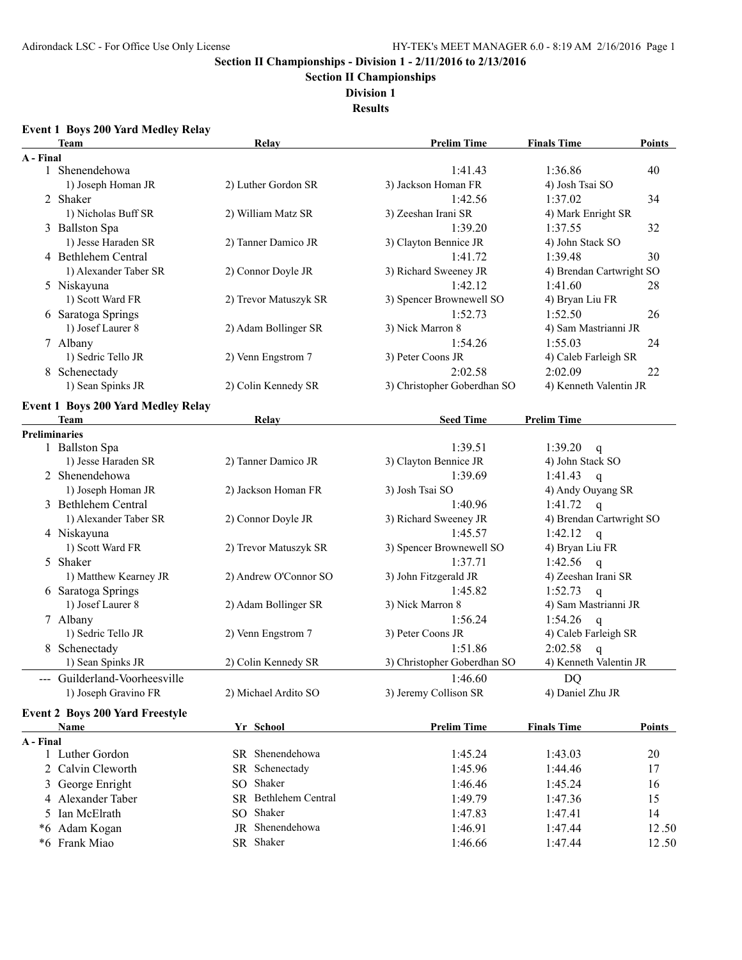**Section II Championships**

**Division 1**

**Results**

### **Event 1 Boys 200 Yard Medley Relay**

|                      | Team                                      | Relay                 | <b>Prelim Time</b>          | <b>Finals Time</b>               | <b>Points</b> |
|----------------------|-------------------------------------------|-----------------------|-----------------------------|----------------------------------|---------------|
| A - Final            |                                           |                       |                             |                                  |               |
|                      | 1 Shenendehowa                            |                       | 1:41.43                     | 1:36.86                          | 40            |
|                      | 1) Joseph Homan JR                        | 2) Luther Gordon SR   | 3) Jackson Homan FR         | 4) Josh Tsai SO                  |               |
|                      | 2 Shaker                                  |                       | 1:42.56                     | 1:37.02                          | 34            |
|                      | 1) Nicholas Buff SR                       | 2) William Matz SR    | 3) Zeeshan Irani SR         | 4) Mark Enright SR               |               |
|                      | 3 Ballston Spa                            |                       | 1:39.20                     | 1:37.55                          | 32            |
|                      | 1) Jesse Haraden SR                       | 2) Tanner Damico JR   | 3) Clayton Bennice JR       | 4) John Stack SO                 |               |
|                      | 4 Bethlehem Central                       |                       | 1:41.72                     | 1:39.48                          | 30            |
|                      | 1) Alexander Taber SR                     | 2) Connor Doyle JR    | 3) Richard Sweeney JR       | 4) Brendan Cartwright SO         |               |
|                      | 5 Niskayuna                               |                       | 1:42.12                     | 1:41.60                          | 28            |
|                      | 1) Scott Ward FR                          | 2) Trevor Matuszyk SR | 3) Spencer Brownewell SO    | 4) Bryan Liu FR                  |               |
|                      | 6 Saratoga Springs                        |                       | 1:52.73                     | 1:52.50                          | 26            |
|                      | 1) Josef Laurer 8                         | 2) Adam Bollinger SR  | 3) Nick Marron 8            | 4) Sam Mastrianni JR             |               |
|                      | 7 Albany                                  |                       | 1:54.26                     | 1:55.03                          | 24            |
|                      | 1) Sedric Tello JR                        | 2) Venn Engstrom 7    | 3) Peter Coons JR           | 4) Caleb Farleigh SR             |               |
|                      | 8 Schenectady                             |                       | 2:02.58                     | 2:02.09                          | 22            |
|                      | 1) Sean Spinks JR                         | 2) Colin Kennedy SR   | 3) Christopher Goberdhan SO | 4) Kenneth Valentin JR           |               |
|                      |                                           |                       |                             |                                  |               |
|                      | <b>Event 1 Boys 200 Yard Medley Relay</b> |                       |                             |                                  |               |
|                      | <b>Team</b>                               | Relay                 | <b>Seed Time</b>            | <b>Prelim Time</b>               |               |
| <b>Preliminaries</b> |                                           |                       | 1:39.51                     | 1:39.20                          |               |
|                      | 1 Ballston Spa<br>1) Jesse Haraden SR     | 2) Tanner Damico JR   | 3) Clayton Bennice JR       | $\mathsf{q}$<br>4) John Stack SO |               |
|                      |                                           |                       |                             |                                  |               |
|                      | 2 Shenendehowa                            |                       | 1:39.69                     | 1:41.43<br>$\mathsf{q}$          |               |
|                      | 1) Joseph Homan JR                        | 2) Jackson Homan FR   | 3) Josh Tsai SO             | 4) Andy Ouyang SR                |               |
|                      | 3 Bethlehem Central                       |                       | 1:40.96                     | 1:41.72<br>$\mathsf{q}$          |               |
|                      | 1) Alexander Taber SR                     | 2) Connor Doyle JR    | 3) Richard Sweeney JR       | 4) Brendan Cartwright SO         |               |
|                      | 4 Niskayuna                               |                       | 1:45.57                     | 1:42.12<br>$\mathsf{q}$          |               |
|                      | 1) Scott Ward FR                          | 2) Trevor Matuszyk SR | 3) Spencer Brownewell SO    | 4) Bryan Liu FR                  |               |
|                      | 5 Shaker                                  |                       | 1:37.71                     | 1:42.56<br>$\mathsf{q}$          |               |
|                      | 1) Matthew Kearney JR                     | 2) Andrew O'Connor SO | 3) John Fitzgerald JR       | 4) Zeeshan Irani SR              |               |
|                      | 6 Saratoga Springs                        |                       | 1:45.82                     | 1:52.73<br>$\mathbf{q}$          |               |
|                      | 1) Josef Laurer 8                         | 2) Adam Bollinger SR  | 3) Nick Marron 8            | 4) Sam Mastrianni JR             |               |
|                      | 7 Albany                                  |                       | 1:56.24                     | 1:54.26<br>$\mathbf{q}$          |               |
|                      | 1) Sedric Tello JR                        | 2) Venn Engstrom 7    | 3) Peter Coons JR           | 4) Caleb Farleigh SR             |               |
|                      | 8 Schenectady                             |                       | 1:51.86                     | 2:02.58<br>$\mathbf{q}$          |               |
|                      | 1) Sean Spinks JR                         | 2) Colin Kennedy SR   | 3) Christopher Goberdhan SO | 4) Kenneth Valentin JR           |               |
|                      | --- Guilderland-Voorheesville             |                       | 1:46.60                     | DQ                               |               |
|                      | 1) Joseph Gravino FR                      | 2) Michael Ardito SO  | 3) Jeremy Collison SR       | 4) Daniel Zhu JR                 |               |
|                      | <b>Event 2 Boys 200 Yard Freestyle</b>    |                       |                             |                                  |               |
|                      | Name                                      | Yr School             | <b>Prelim Time</b>          | <b>Finals Time</b>               | <b>Points</b> |
| A - Final            |                                           |                       |                             |                                  |               |
|                      | 1 Luther Gordon                           | SR Shenendehowa       | 1:45.24                     | 1:43.03                          | 20            |
|                      | 2 Calvin Cleworth                         | SR Schenectady        | 1:45.96                     | 1:44.46                          | 17            |
|                      | 3 George Enright                          | SO Shaker             | 1:46.46                     | 1:45.24                          | 16            |
|                      |                                           |                       |                             |                                  |               |
|                      | 4 Alexander Taber                         | SR Bethlehem Central  | 1:49.79                     | 1:47.36                          | 15            |
|                      | 5 Ian McElrath                            | SO Shaker             | 1:47.83                     | 1:47.41                          | 14            |
|                      | *6 Adam Kogan                             | JR Shenendehowa       | 1:46.91                     | 1:47.44                          | 12.50         |
|                      | *6 Frank Miao                             | SR Shaker             | 1:46.66                     | 1:47.44                          | 12.50         |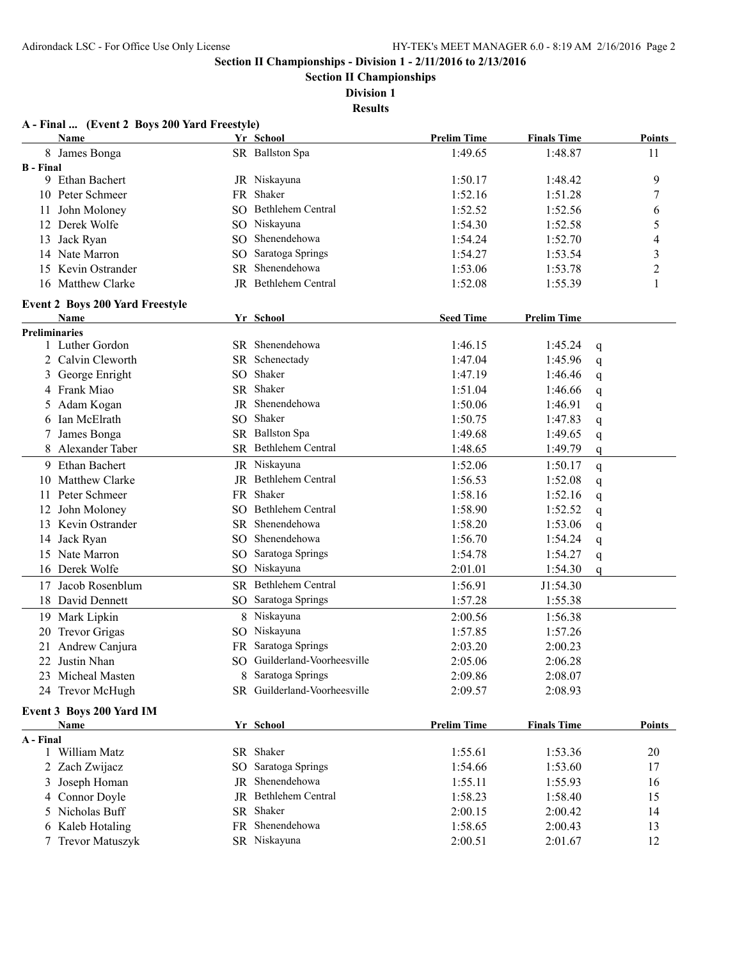**Section II Championships**

**Division 1**

**Results**

|                      | A - Final  (Event 2 Boys 200 Yard Freestyle) |           |                                |                    |                    |   |                |
|----------------------|----------------------------------------------|-----------|--------------------------------|--------------------|--------------------|---|----------------|
|                      | Name                                         |           | Yr School                      | <b>Prelim Time</b> | <b>Finals Time</b> |   | <b>Points</b>  |
| 8                    | James Bonga                                  |           | SR Ballston Spa                | 1:49.65            | 1:48.87            |   | 11             |
| <b>B</b> - Final     | 9 Ethan Bachert                              |           |                                |                    |                    |   |                |
|                      |                                              |           | JR Niskayuna                   | 1:50.17            | 1:48.42            |   | 9              |
|                      | 10 Peter Schmeer                             | FR        | Shaker<br>SO Bethlehem Central | 1:52.16            | 1:51.28            |   | 7              |
| 11                   | John Moloney                                 |           |                                | 1:52.52            | 1:52.56            |   | 6              |
|                      | 12 Derek Wolfe                               |           | SO Niskayuna                   | 1:54.30            | 1:52.58            |   | 5              |
| 13                   | Jack Ryan                                    | SO.       | Shenendehowa                   | 1:54.24            | 1:52.70            |   | 4              |
|                      | 14 Nate Marron                               | SO.       | Saratoga Springs               | 1:54.27            | 1:53.54            |   | 3              |
|                      | 15 Kevin Ostrander                           | SR.       | Shenendehowa                   | 1:53.06            | 1:53.78            |   | $\overline{c}$ |
|                      | 16 Matthew Clarke                            |           | JR Bethlehem Central           | 1:52.08            | 1:55.39            |   | 1              |
|                      | <b>Event 2 Boys 200 Yard Freestyle</b>       |           |                                |                    |                    |   |                |
|                      | Name                                         |           | Yr School                      | <b>Seed Time</b>   | <b>Prelim Time</b> |   |                |
| <b>Preliminaries</b> |                                              |           | SR Shenendehowa                | 1:46.15            |                    |   |                |
|                      | 1 Luther Gordon                              |           |                                | 1:47.04            | 1:45.24            | q |                |
| 2                    | Calvin Cleworth                              |           | SR Schenectady<br>SO Shaker    |                    | 1:45.96            | q |                |
| 3                    | George Enright                               |           | SR Shaker                      | 1:47.19            | 1:46.46            | q |                |
|                      | 4 Frank Miao                                 |           | Shenendehowa                   | 1:51.04            | 1:46.66            | q |                |
| 5.                   | Adam Kogan                                   | JR        |                                | 1:50.06            | 1:46.91            | q |                |
| 6                    | Ian McElrath                                 |           | SO Shaker                      | 1:50.75            | 1:47.83            | q |                |
| 7                    | James Bonga                                  |           | SR Ballston Spa                | 1:49.68            | 1:49.65            | q |                |
|                      | Alexander Taber                              |           | <b>SR</b> Bethlehem Central    | 1:48.65            | 1:49.79            | q |                |
| 9                    | <b>Ethan Bachert</b>                         |           | JR Niskayuna                   | 1:52.06            | 1:50.17            | q |                |
| 10                   | <b>Matthew Clarke</b>                        | JR        | Bethlehem Central              | 1:56.53            | 1:52.08            | q |                |
|                      | 11 Peter Schmeer                             |           | FR Shaker                      | 1:58.16            | 1:52.16            | q |                |
|                      | 12 John Moloney                              | SO.       | Bethlehem Central              | 1:58.90            | 1:52.52            | q |                |
|                      | 13 Kevin Ostrander                           | <b>SR</b> | Shenendehowa                   | 1:58.20            | 1:53.06            | q |                |
| 14                   | Jack Ryan                                    |           | SO Shenendehowa                | 1:56.70            | 1:54.24            | q |                |
| 15                   | Nate Marron                                  | SO.       | Saratoga Springs               | 1:54.78            | 1:54.27            | q |                |
|                      | 16 Derek Wolfe                               |           | SO Niskayuna                   | 2:01.01            | 1:54.30            | q |                |
| 17                   | Jacob Rosenblum                              |           | SR Bethlehem Central           | 1:56.91            | J1:54.30           |   |                |
|                      | 18 David Dennett                             |           | SO Saratoga Springs            | 1:57.28            | 1:55.38            |   |                |
| 19                   | Mark Lipkin                                  |           | 8 Niskayuna                    | 2:00.56            | 1:56.38            |   |                |
| 20                   | <b>Trevor Grigas</b>                         |           | SO Niskayuna                   | 1:57.85            | 1:57.26            |   |                |
|                      | 21 Andrew Canjura                            |           | FR Saratoga Springs            | 2:03.20            | 2:00.23            |   |                |
|                      | 22 Justin Nhan                               |           | SO Guilderland-Voorheesville   | 2:05.06            | 2:06.28            |   |                |
|                      | 23 Micheal Masten                            |           | 8 Saratoga Springs             | 2:09.86            | 2:08.07            |   |                |
|                      | 24 Trevor McHugh                             |           | SR Guilderland-Voorheesville   | 2:09.57            | 2:08.93            |   |                |
|                      |                                              |           |                                |                    |                    |   |                |
|                      | Event 3 Boys 200 Yard IM<br>Name             |           | Yr School                      | <b>Prelim Time</b> | <b>Finals Time</b> |   | <b>Points</b>  |
| A - Final            |                                              |           |                                |                    |                    |   |                |
|                      | 1 William Matz                               |           | SR Shaker                      | 1:55.61            | 1:53.36            |   | 20             |
| $\overline{2}$       | Zach Zwijacz                                 |           | SO Saratoga Springs            | 1:54.66            | 1:53.60            |   | 17             |
| 3                    | Joseph Homan                                 |           | JR Shenendehowa                | 1:55.11            | 1:55.93            |   | 16             |
|                      | 4 Connor Doyle                               |           | JR Bethlehem Central           | 1:58.23            | 1:58.40            |   | 15             |
|                      | 5 Nicholas Buff                              |           | SR Shaker                      | 2:00.15            | 2:00.42            |   | 14             |
|                      | 6 Kaleb Hotaling                             |           | FR Shenendehowa                | 1:58.65            | 2:00.43            |   | 13             |
|                      | 7 Trevor Matuszyk                            |           | SR Niskayuna                   | 2:00.51            | 2:01.67            |   | 12             |
|                      |                                              |           |                                |                    |                    |   |                |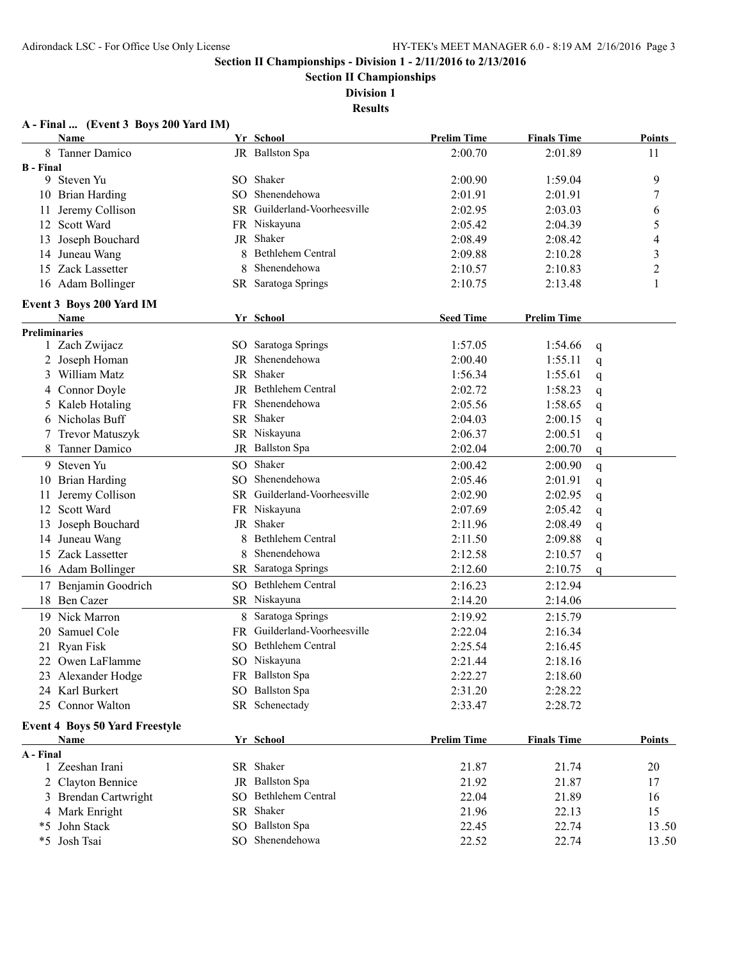**Section II Championships**

**Division 1 Results**

#### **A - Final ... (Event 3 Boys 200 Yard IM)**

|                      | <b>Name</b>                           |    | Yr School                    | <b>Prelim Time</b> | <b>Finals Time</b> | <b>Points</b> |
|----------------------|---------------------------------------|----|------------------------------|--------------------|--------------------|---------------|
|                      | 8 Tanner Damico                       |    | JR Ballston Spa              | 2:00.70            | 2:01.89            | 11            |
| <b>B</b> - Final     |                                       |    |                              |                    |                    |               |
|                      | 9 Steven Yu                           |    | SO Shaker                    | 2:00.90            | 1:59.04            | 9             |
|                      | 10 Brian Harding                      |    | SO Shenendehowa              | 2:01.91            | 2:01.91            | 7             |
|                      | 11 Jeremy Collison                    |    | SR Guilderland-Voorheesville | 2:02.95            | 2:03.03            | 6             |
|                      | 12 Scott Ward                         |    | FR Niskayuna                 | 2:05.42            | 2:04.39            | 5             |
|                      | 13 Joseph Bouchard                    | JR | Shaker                       | 2:08.49            | 2:08.42            | 4             |
|                      | 14 Juneau Wang                        |    | Bethlehem Central            | 2:09.88            | 2:10.28            | 3             |
| 15                   | Zack Lassetter                        | 8  | Shenendehowa                 | 2:10.57            | 2:10.83            | 2             |
|                      | 16 Adam Bollinger                     |    | SR Saratoga Springs          | 2:10.75            | 2:13.48            | 1             |
|                      | Event 3 Boys 200 Yard IM              |    |                              |                    |                    |               |
|                      | Name                                  |    | Yr School                    | <b>Seed Time</b>   | <b>Prelim Time</b> |               |
| <b>Preliminaries</b> |                                       |    |                              |                    |                    |               |
|                      | 1 Zach Zwijacz                        |    | SO Saratoga Springs          | 1:57.05            | 1:54.66            | q             |
|                      | 2 Joseph Homan                        | JR | Shenendehowa                 | 2:00.40            | 1:55.11            | q             |
|                      | 3 William Matz                        |    | SR Shaker                    | 1:56.34            | 1:55.61            | q             |
|                      | 4 Connor Doyle                        |    | JR Bethlehem Central         | 2:02.72            | 1:58.23            | q             |
|                      | 5 Kaleb Hotaling                      |    | FR Shenendehowa              | 2:05.56            | 1:58.65            | q             |
|                      | 6 Nicholas Buff                       |    | SR Shaker                    | 2:04.03            | 2:00.15            | q             |
|                      | 7 Trevor Matuszyk                     |    | SR Niskayuna                 | 2:06.37            | 2:00.51            | q             |
| 8                    | Tanner Damico                         |    | JR Ballston Spa              | 2:02.04            | 2:00.70            | q             |
|                      | 9 Steven Yu                           |    | SO Shaker                    | 2:00.42            | 2:00.90            | q             |
|                      | 10 Brian Harding                      |    | SO Shenendehowa              | 2:05.46            | 2:01.91            | q             |
| 11                   | Jeremy Collison                       |    | SR Guilderland-Voorheesville | 2:02.90            | 2:02.95            | q             |
|                      | 12 Scott Ward                         |    | FR Niskayuna                 | 2:07.69            | 2:05.42            | q             |
| 13                   | Joseph Bouchard                       | JR | Shaker                       | 2:11.96            | 2:08.49            | q             |
|                      | 14 Juneau Wang                        |    | Bethlehem Central            | 2:11.50            | 2:09.88            | q             |
|                      | 15 Zack Lassetter                     | 8  | Shenendehowa                 | 2:12.58            | 2:10.57            | q             |
|                      | 16 Adam Bollinger                     |    | SR Saratoga Springs          | 2:12.60            | 2:10.75            | q             |
|                      | 17 Benjamin Goodrich                  |    | SO Bethlehem Central         | 2:16.23            | 2:12.94            |               |
|                      | 18 Ben Cazer                          |    | SR Niskayuna                 | 2:14.20            | 2:14.06            |               |
|                      | 19 Nick Marron                        |    | 8 Saratoga Springs           | 2:19.92            | 2:15.79            |               |
|                      | 20 Samuel Cole                        |    | FR Guilderland-Voorheesville | 2:22.04            | 2:16.34            |               |
|                      | 21 Ryan Fisk                          |    | SO Bethlehem Central         | 2:25.54            | 2:16.45            |               |
|                      | 22 Owen LaFlamme                      |    | SO Niskayuna                 | 2:21.44            | 2:18.16            |               |
|                      | 23 Alexander Hodge                    |    | FR Ballston Spa              | 2:22.27            | 2:18.60            |               |
|                      | 24 Karl Burkert                       |    | SO Ballston Spa              | 2:31.20            | 2:28.22            |               |
|                      | 25 Connor Walton                      |    | SR Schenectady               | 2:33.47            | 2:28.72            |               |
|                      | <b>Event 4 Boys 50 Yard Freestyle</b> |    |                              |                    |                    |               |
|                      | <b>Name</b>                           |    | Yr School                    | <b>Prelim Time</b> | <b>Finals Time</b> | <b>Points</b> |
| A - Final            |                                       |    |                              |                    |                    |               |
|                      | 1 Zeeshan Irani                       |    | SR Shaker                    | 21.87              | 21.74              | 20            |
|                      | 2 Clayton Bennice                     |    | JR Ballston Spa              | 21.92              | 21.87              | 17            |
|                      | 3 Brendan Cartwright                  |    | SO Bethlehem Central         | 22.04              | 21.89              | 16            |
|                      | 4 Mark Enright                        |    | SR Shaker                    | 21.96              | 22.13              | 15            |
|                      | *5 John Stack                         |    | SO Ballston Spa              | 22.45              | 22.74              | 13.50         |
|                      | *5 Josh Tsai                          |    | SO Shenendehowa              | 22.52              | 22.74              | 13.50         |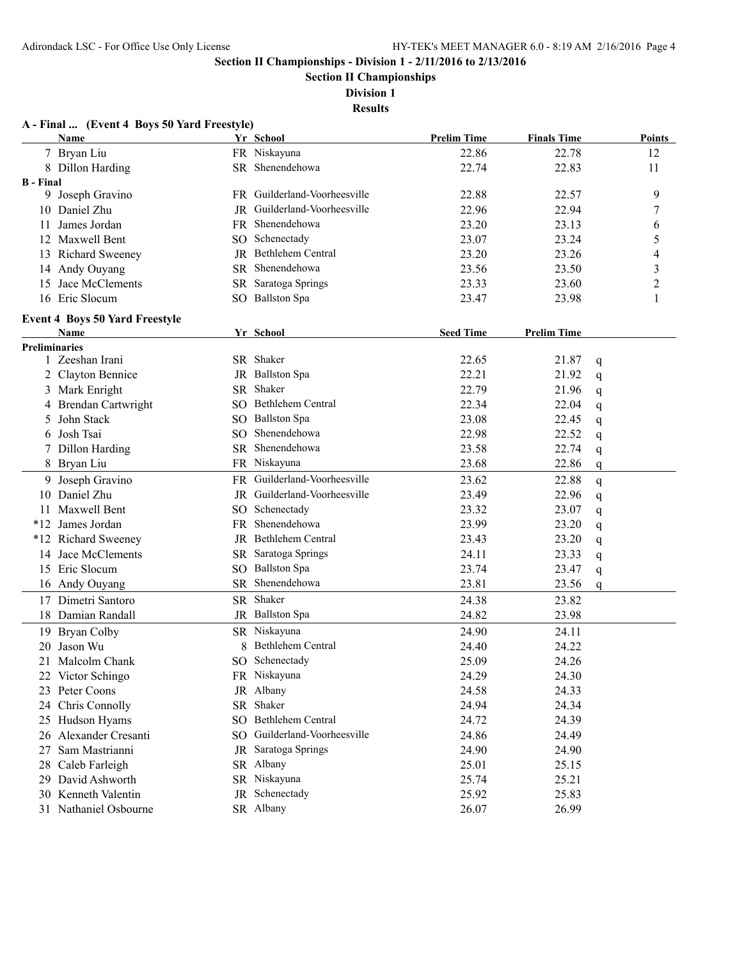**Section II Championships**

**Division 1**

**Results**

|                      | Name                                  |     | Yr School                    | <b>Prelim Time</b> | <b>Finals Time</b> | Points                  |
|----------------------|---------------------------------------|-----|------------------------------|--------------------|--------------------|-------------------------|
|                      | 7 Bryan Liu                           |     | FR Niskayuna                 | 22.86              | 22.78              | 12                      |
|                      | 8 Dillon Harding                      |     | SR Shenendehowa              | 22.74              | 22.83              | 11                      |
| <b>B</b> - Final     |                                       |     |                              |                    |                    |                         |
|                      | 9 Joseph Gravino                      |     | FR Guilderland-Voorheesville | 22.88              | 22.57              | 9                       |
|                      | 10 Daniel Zhu                         |     | JR Guilderland-Voorheesville | 22.96              | 22.94              | 7                       |
|                      | 11 James Jordan                       |     | FR Shenendehowa              | 23.20              | 23.13              | 6                       |
|                      | 12 Maxwell Bent                       |     | SO Schenectady               | 23.07              | 23.24              | 5                       |
|                      | 13 Richard Sweeney                    |     | JR Bethlehem Central         | 23.20              | 23.26              | 4                       |
|                      | 14 Andy Ouyang                        |     | SR Shenendehowa              | 23.56              | 23.50              | $\overline{\mathbf{3}}$ |
|                      | 15 Jace McClements                    |     | SR Saratoga Springs          | 23.33              | 23.60              | $\overline{c}$          |
|                      | 16 Eric Slocum                        |     | SO Ballston Spa              | 23.47              | 23.98              | 1                       |
|                      | <b>Event 4 Boys 50 Yard Freestyle</b> |     |                              |                    |                    |                         |
|                      | Name                                  |     | Yr School                    | <b>Seed Time</b>   | <b>Prelim Time</b> |                         |
| <b>Preliminaries</b> |                                       |     |                              |                    |                    |                         |
|                      | 1 Zeeshan Irani                       |     | SR Shaker                    | 22.65              | 21.87              | q                       |
|                      | 2 Clayton Bennice                     |     | JR Ballston Spa              | 22.21              | 21.92              | q                       |
|                      | 3 Mark Enright                        |     | SR Shaker                    | 22.79              | 21.96              | q                       |
|                      | 4 Brendan Cartwright                  |     | SO Bethlehem Central         | 22.34              | 22.04              | q                       |
| 5                    | John Stack                            |     | SO Ballston Spa              | 23.08              | 22.45              | q                       |
| 6                    | Josh Tsai                             | SO. | Shenendehowa                 | 22.98              | 22.52              | q                       |
| 7                    | Dillon Harding                        |     | SR Shenendehowa              | 23.58              | 22.74              | q                       |
|                      | 8 Bryan Liu                           |     | FR Niskayuna                 | 23.68              | 22.86              | q                       |
|                      | 9 Joseph Gravino                      |     | FR Guilderland-Voorheesville | 23.62              | 22.88              | q                       |
|                      | 10 Daniel Zhu                         |     | JR Guilderland-Voorheesville | 23.49              | 22.96              | q                       |
|                      | 11 Maxwell Bent                       | SO. | Schenectady                  | 23.32              | 23.07              | q                       |
|                      | *12 James Jordan                      |     | FR Shenendehowa              | 23.99              | 23.20              | q                       |
|                      | *12 Richard Sweeney                   |     | JR Bethlehem Central         | 23.43              | 23.20              | q                       |
|                      | 14 Jace McClements                    | SR  | Saratoga Springs             | 24.11              | 23.33              | q                       |
|                      | 15 Eric Slocum                        |     | SO Ballston Spa              | 23.74              | 23.47              | q                       |
|                      | 16 Andy Ouyang                        |     | SR Shenendehowa              | 23.81              | 23.56              | q                       |
|                      | 17 Dimetri Santoro                    |     | SR Shaker                    | 24.38              | 23.82              |                         |
|                      | 18 Damian Randall                     |     | JR Ballston Spa              | 24.82              | 23.98              |                         |
|                      | 19 Bryan Colby                        |     | SR Niskayuna                 | 24.90              | 24.11              |                         |
| 20                   | Jason Wu                              | 8   | Bethlehem Central            | 24.40              | 24.22              |                         |
|                      |                                       |     | SO Schenectady               | 25.09              |                    |                         |
|                      | 21 Malcolm Chank<br>22 Victor Schingo |     | FR Niskayuna                 | 24.29              | 24.26<br>24.30     |                         |
|                      |                                       |     | JR Albany                    |                    |                    |                         |
|                      | 23 Peter Coons                        |     | SR Shaker                    | 24.58              | 24.33              |                         |
|                      | 24 Chris Connolly                     |     | SO Bethlehem Central         | 24.94              | 24.34              |                         |
|                      | 25 Hudson Hyams                       |     | SO Guilderland-Voorheesville | 24.72              | 24.39              |                         |
|                      | 26 Alexander Cresanti                 |     |                              | 24.86              | 24.49              |                         |
| 27                   | Sam Mastrianni                        |     | JR Saratoga Springs          | 24.90              | 24.90              |                         |
|                      | 28 Caleb Farleigh                     |     | SR Albany                    | 25.01              | 25.15              |                         |
|                      | 29 David Ashworth                     |     | SR Niskayuna                 | 25.74              | 25.21              |                         |
|                      | 30 Kenneth Valentin                   |     | JR Schenectady               | 25.92              | 25.83              |                         |
|                      | 31 Nathaniel Osbourne                 |     | SR Albany                    | 26.07              | 26.99              |                         |

## **A - Final ... (Event 4 Boys 50 Yard Freestyle)**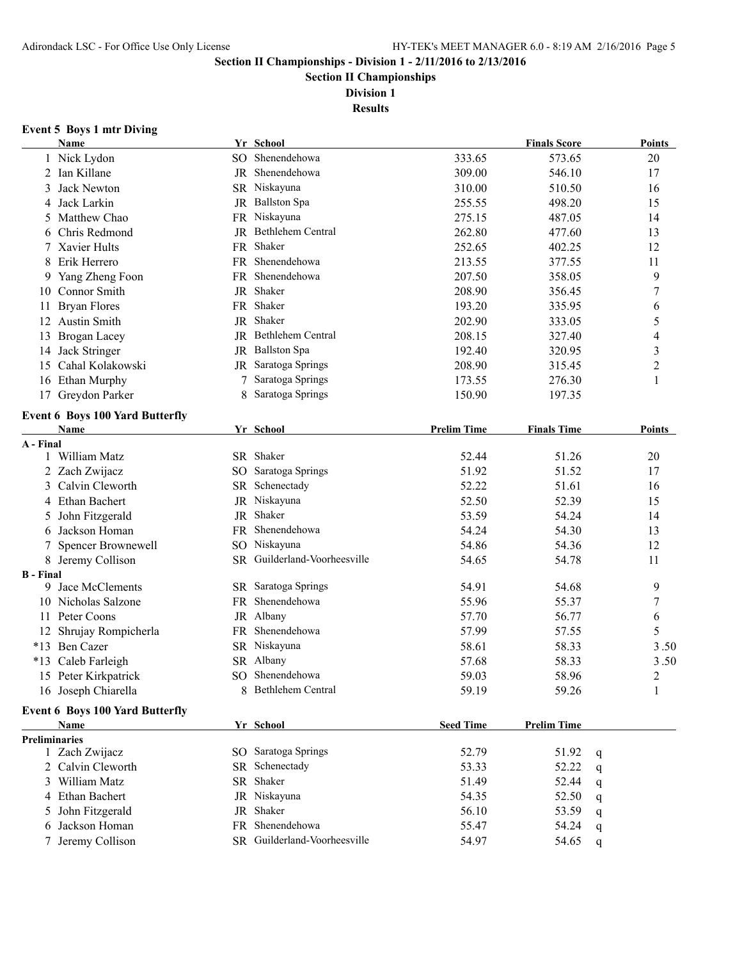**Section II Championships**

**Division 1**

**Results**

#### **Event 5 Boys 1 mtr Diving**

|                      | Name                                   |     | Yr School                    |                    | <b>Finals Score</b> |   | <b>Points</b>            |
|----------------------|----------------------------------------|-----|------------------------------|--------------------|---------------------|---|--------------------------|
|                      | 1 Nick Lydon                           |     | SO Shenendehowa              | 333.65             | 573.65              |   | 20                       |
| 2                    | Ian Killane                            |     | JR Shenendehowa              | 309.00             | 546.10              |   | 17                       |
| 3                    | <b>Jack Newton</b>                     |     | SR Niskayuna                 | 310.00             | 510.50              |   | 16                       |
| 4                    | Jack Larkin                            |     | JR Ballston Spa              | 255.55             | 498.20              |   | 15                       |
| 5                    | Matthew Chao                           |     | FR Niskayuna                 | 275.15             | 487.05              |   | 14                       |
| 6                    | Chris Redmond                          |     | JR Bethlehem Central         | 262.80             | 477.60              |   | 13                       |
|                      | Xavier Hults                           |     | FR Shaker                    | 252.65             | 402.25              |   | 12                       |
| 8                    | Erik Herrero                           |     | FR Shenendehowa              | 213.55             | 377.55              |   | 11                       |
| 9                    | Yang Zheng Foon                        | FR. | Shenendehowa                 | 207.50             | 358.05              |   | 9                        |
|                      | 10 Connor Smith                        |     | JR Shaker                    | 208.90             | 356.45              |   | $\sqrt{ }$               |
| 11                   | <b>Bryan Flores</b>                    |     | FR Shaker                    | 193.20             | 335.95              |   | 6                        |
|                      | 12 Austin Smith                        |     | JR Shaker                    | 202.90             | 333.05              |   | 5                        |
| 13                   | Brogan Lacey                           |     | JR Bethlehem Central         | 208.15             | 327.40              |   | $\overline{\mathcal{A}}$ |
|                      | 14 Jack Stringer                       | JR  | <b>Ballston Spa</b>          | 192.40             | 320.95              |   | $\mathfrak{Z}$           |
| 15                   | Cahal Kolakowski                       |     | JR Saratoga Springs          | 208.90             | 315.45              |   | $\overline{c}$           |
|                      | 16 Ethan Murphy                        |     | Saratoga Springs             | 173.55             | 276.30              |   | 1                        |
|                      | 17 Greydon Parker                      | 8   | Saratoga Springs             | 150.90             | 197.35              |   |                          |
|                      |                                        |     |                              |                    |                     |   |                          |
|                      | <b>Event 6 Boys 100 Yard Butterfly</b> |     |                              |                    |                     |   |                          |
|                      | Name                                   |     | Yr School                    | <b>Prelim Time</b> | <b>Finals Time</b>  |   | Points                   |
| A - Final            | 1 William Matz                         |     | SR Shaker                    | 52.44              | 51.26               |   | 20                       |
|                      | 2 Zach Zwijacz                         |     | SO Saratoga Springs          | 51.92              | 51.52               |   | 17                       |
| 3                    | Calvin Cleworth                        |     | SR Schenectady               | 52.22              | 51.61               |   | 16                       |
|                      | Ethan Bachert                          |     | JR Niskayuna                 | 52.50              | 52.39               |   | 15                       |
| 4                    |                                        |     | JR Shaker                    | 53.59              | 54.24               |   |                          |
| 5.                   | John Fitzgerald                        |     | FR Shenendehowa              | 54.24              |                     |   | 14                       |
| 6                    | Jackson Homan                          |     |                              |                    | 54.30               |   | 13                       |
| 7                    | Spencer Brownewell                     |     | SO Niskayuna                 | 54.86              | 54.36               |   | 12                       |
|                      | 8 Jeremy Collison                      |     | SR Guilderland-Voorheesville | 54.65              | 54.78               |   | 11                       |
| <b>B</b> - Final     | 9 Jace McClements                      |     | SR Saratoga Springs          | 54.91              | 54.68               |   | 9                        |
|                      | 10 Nicholas Salzone                    |     | FR Shenendehowa              | 55.96              | 55.37               |   | $\sqrt{ }$               |
|                      | 11 Peter Coons                         |     | JR Albany                    | 57.70              | 56.77               |   | 6                        |
|                      | 12 Shrujay Rompicherla                 |     | FR Shenendehowa              | 57.99              | 57.55               |   | 5                        |
|                      | *13 Ben Cazer                          |     | SR Niskayuna                 | 58.61              | 58.33               |   | 3.50                     |
|                      |                                        |     | SR Albany                    | 57.68              | 58.33               |   | 3.50                     |
|                      | *13 Caleb Farleigh                     |     | SO Shenendehowa              | 59.03              | 58.96               |   | $\overline{2}$           |
|                      | 15 Peter Kirkpatrick                   |     | 8 Bethlehem Central          |                    |                     |   |                          |
|                      | 16 Joseph Chiarella                    |     |                              | 59.19              | 59.26               |   | 1                        |
|                      | <b>Event 6 Boys 100 Yard Butterfly</b> |     |                              |                    |                     |   |                          |
|                      | <b>Name</b>                            |     | Yr School                    | <b>Seed Time</b>   | <b>Prelim Time</b>  |   |                          |
| <b>Preliminaries</b> |                                        |     |                              |                    |                     |   |                          |
|                      | 1 Zach Zwijacz                         |     | SO Saratoga Springs          | 52.79              | 51.92               | q |                          |
|                      | 2 Calvin Cleworth                      |     | SR Schenectady               | 53.33              | 52.22               | q |                          |
| 3                    | William Matz                           | SR  | Shaker                       | 51.49              | 52.44               | q |                          |
|                      | 4 Ethan Bachert                        |     | JR Niskayuna                 | 54.35              | 52.50               | q |                          |
| 5.                   | John Fitzgerald                        | JR  | Shaker                       | 56.10              | 53.59               | q |                          |
| 6                    | Jackson Homan                          |     | FR Shenendehowa              | 55.47              | 54.24               | q |                          |
| 7                    | Jeremy Collison                        |     | SR Guilderland-Voorheesville | 54.97              | 54.65               | q |                          |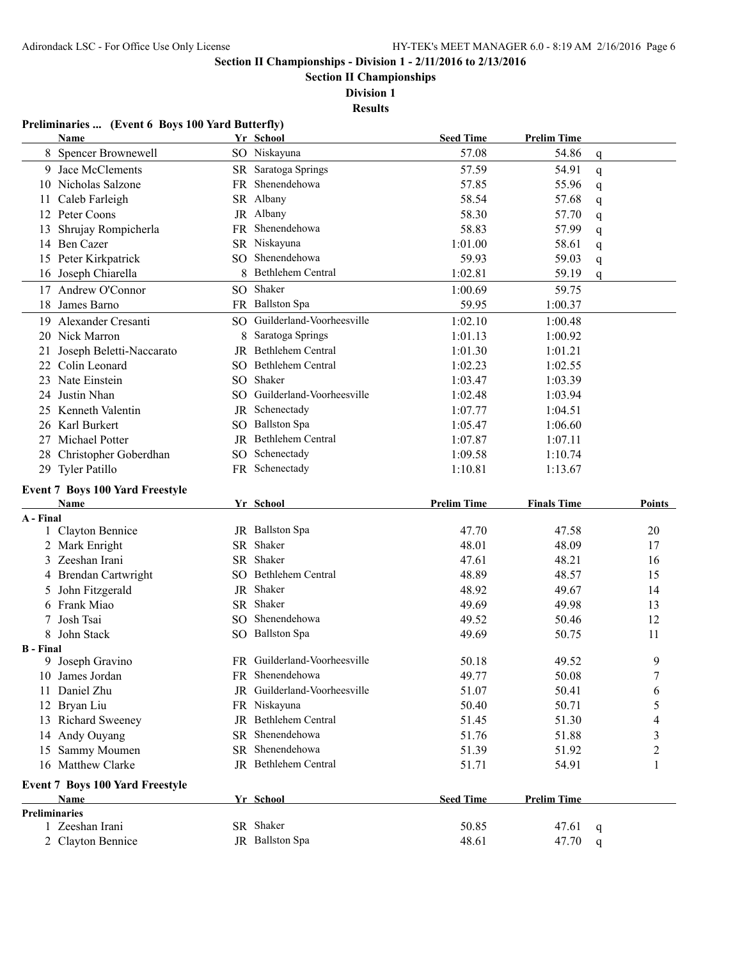**Section II Championships**

**Division 1**

**Results**

## **Preliminaries ... (Event 6 Boys 100 Yard Butterfly)**

|                      | <b>Name</b>                            |    | Yr School                    | <b>Seed Time</b>   | <b>Prelim Time</b> |        |               |
|----------------------|----------------------------------------|----|------------------------------|--------------------|--------------------|--------|---------------|
|                      | 8 Spencer Brownewell                   |    | SO Niskayuna                 | 57.08              | 54.86              | q      |               |
|                      | 9 Jace McClements                      |    | SR Saratoga Springs          | 57.59              | 54.91              | q      |               |
|                      | 10 Nicholas Salzone                    |    | FR Shenendehowa              | 57.85              | 55.96              | q      |               |
| 11                   | Caleb Farleigh                         |    | SR Albany                    | 58.54              | 57.68              | q      |               |
|                      | 12 Peter Coons                         |    | JR Albany                    | 58.30              | 57.70              | q      |               |
| 13                   | Shrujay Rompicherla                    | FR | Shenendehowa                 | 58.83              | 57.99              | q      |               |
|                      | 14 Ben Cazer                           |    | SR Niskayuna                 | 1:01.00            | 58.61              | q      |               |
|                      | 15 Peter Kirkpatrick                   |    | SO Shenendehowa              | 59.93              | 59.03              | q      |               |
|                      | 16 Joseph Chiarella                    |    | 8 Bethlehem Central          | 1:02.81            | 59.19              | q      |               |
|                      | 17 Andrew O'Connor                     |    | SO Shaker                    | 1:00.69            | 59.75              |        |               |
|                      | 18 James Barno                         |    | FR Ballston Spa              | 59.95              | 1:00.37            |        |               |
|                      | 19 Alexander Cresanti                  |    | SO Guilderland-Voorheesville | 1:02.10            | 1:00.48            |        |               |
|                      | 20 Nick Marron                         |    | 8 Saratoga Springs           | 1:01.13            | 1:00.92            |        |               |
| 21                   | Joseph Beletti-Naccarato               |    | JR Bethlehem Central         | 1:01.30            | 1:01.21            |        |               |
| 22                   | Colin Leonard                          |    | SO Bethlehem Central         | 1:02.23            | 1:02.55            |        |               |
| 23                   | Nate Einstein                          |    | SO Shaker                    | 1:03.47            | 1:03.39            |        |               |
| 24                   | Justin Nhan                            |    | SO Guilderland-Voorheesville | 1:02.48            | 1:03.94            |        |               |
| 25                   | Kenneth Valentin                       |    | JR Schenectady               | 1:07.77            | 1:04.51            |        |               |
|                      | 26 Karl Burkert                        |    | SO Ballston Spa              | 1:05.47            | 1:06.60            |        |               |
|                      | 27 Michael Potter                      |    | JR Bethlehem Central         | 1:07.87            | 1:07.11            |        |               |
|                      | 28 Christopher Goberdhan               |    | SO Schenectady               | 1:09.58            | 1:10.74            |        |               |
|                      | 29 Tyler Patillo                       |    | FR Schenectady               | 1:10.81            | 1:13.67            |        |               |
|                      | <b>Event 7 Boys 100 Yard Freestyle</b> |    |                              |                    |                    |        |               |
|                      |                                        |    |                              |                    |                    |        |               |
|                      | Name                                   |    |                              | <b>Prelim Time</b> |                    |        | <b>Points</b> |
| A - Final            |                                        |    | Yr School                    |                    | <b>Finals Time</b> |        |               |
|                      | 1 Clayton Bennice                      |    | JR Ballston Spa              | 47.70              | 47.58              |        | 20            |
|                      | 2 Mark Enright                         |    | SR Shaker                    | 48.01              | 48.09              |        | 17            |
| 3                    | Zeeshan Irani                          |    | SR Shaker                    | 47.61              | 48.21              |        | 16            |
|                      | 4 Brendan Cartwright                   |    | SO Bethlehem Central         | 48.89              | 48.57              |        | 15            |
| 5                    | John Fitzgerald                        | JR | Shaker                       | 48.92              | 49.67              |        | 14            |
|                      | 6 Frank Miao                           |    | SR Shaker                    | 49.69              | 49.98              |        | 13            |
|                      | Josh Tsai                              |    | SO Shenendehowa              | 49.52              | 50.46              |        | 12            |
| 8                    | John Stack                             |    | SO Ballston Spa              | 49.69              | 50.75              |        | 11            |
| <b>B</b> - Final     |                                        |    |                              |                    |                    |        |               |
|                      | 9 Joseph Gravino                       |    | FR Guilderland-Voorheesville | 50.18              | 49.52              |        | 9             |
|                      | 10 James Jordan                        |    | FR Shenendehowa              | 49.77              | 50.08              |        | 7             |
|                      | 11 Daniel Zhu                          |    | JR Guilderland-Voorheesville | 51.07              | 50.41              |        | 6             |
|                      | 12 Bryan Liu                           |    | FR Niskayuna                 | 50.40              | 50.71              |        | 5             |
|                      | 13 Richard Sweeney                     |    | JR Bethlehem Central         | 51.45              | 51.30              |        | 4             |
|                      | 14 Andy Ouyang                         |    | SR Shenendehowa              | 51.76              | 51.88              |        | 3             |
|                      | 15 Sammy Moumen                        |    | SR Shenendehowa              | 51.39              | 51.92              |        | 2             |
|                      | 16 Matthew Clarke                      |    | JR Bethlehem Central         | 51.71              | 54.91              |        | 1             |
|                      | <b>Event 7 Boys 100 Yard Freestyle</b> |    |                              |                    |                    |        |               |
|                      | Name                                   |    | Yr School                    | <b>Seed Time</b>   | <b>Prelim Time</b> |        |               |
| <b>Preliminaries</b> |                                        |    |                              |                    |                    |        |               |
|                      | 1 Zeeshan Irani<br>2 Clayton Bennice   |    | SR Shaker<br>JR Ballston Spa | 50.85<br>48.61     | 47.61<br>47.70     | q<br>q |               |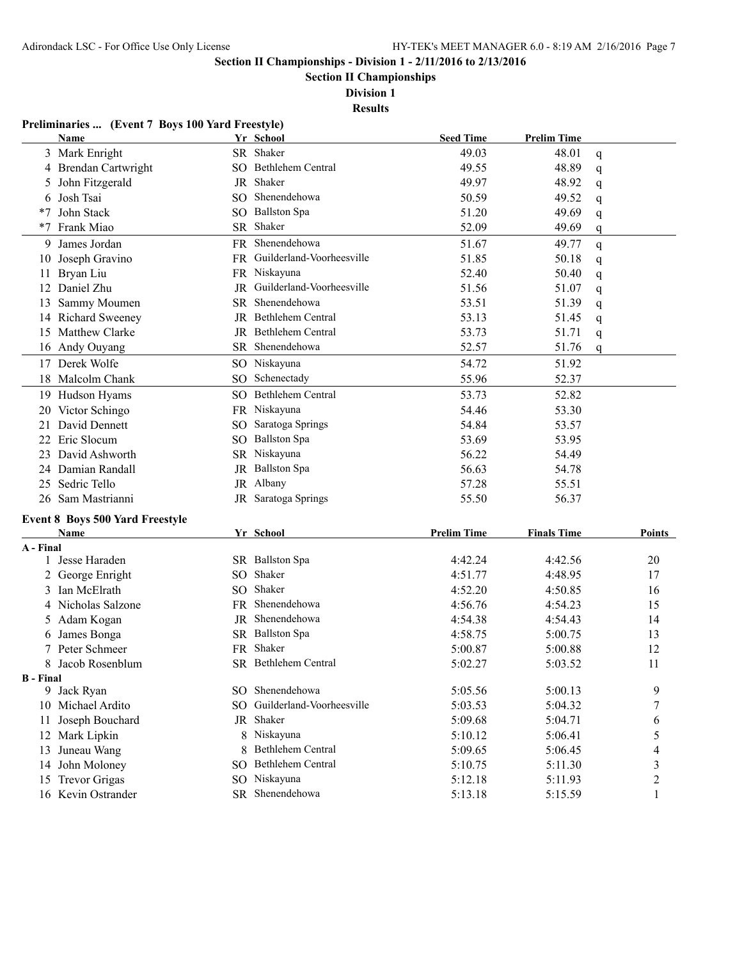**Section II Championships**

**Division 1**

**Results**

|                  | Preliminaries  (Event 7 Boys 100 Yard Freestyle) |                 |                              |                    |                    |                |
|------------------|--------------------------------------------------|-----------------|------------------------------|--------------------|--------------------|----------------|
|                  | Name                                             |                 | Yr School                    | <b>Seed Time</b>   | <b>Prelim Time</b> |                |
|                  | 3 Mark Enright                                   |                 | SR Shaker                    | 49.03              | 48.01              | q              |
|                  | 4 Brendan Cartwright                             |                 | SO Bethlehem Central         | 49.55              | 48.89              | q              |
| 5                | John Fitzgerald                                  |                 | JR Shaker                    | 49.97              | 48.92              | q              |
| 6                | Josh Tsai                                        |                 | SO Shenendehowa              | 50.59              | 49.52              | q              |
| $*7$             | John Stack                                       |                 | SO Ballston Spa              | 51.20              | 49.69              | q              |
| $*7$             | Frank Miao                                       |                 | SR Shaker                    | 52.09              | 49.69              | q              |
| 9                | James Jordan                                     |                 | FR Shenendehowa              | 51.67              | 49.77              | q              |
| 10               | Joseph Gravino                                   |                 | FR Guilderland-Voorheesville | 51.85              | 50.18              | q              |
| 11               | Bryan Liu                                        |                 | FR Niskayuna                 | 52.40              | 50.40              | q              |
| 12               | Daniel Zhu                                       | JR              | Guilderland-Voorheesville    | 51.56              | 51.07              | q              |
| 13               | Sammy Moumen                                     | SR.             | Shenendehowa                 | 53.51              | 51.39              | q              |
|                  | 14 Richard Sweeney                               |                 | JR Bethlehem Central         | 53.13              | 51.45              | q              |
|                  | 15 Matthew Clarke                                |                 | JR Bethlehem Central         | 53.73              | 51.71              | q              |
|                  | 16 Andy Ouyang                                   |                 | SR Shenendehowa              | 52.57              | 51.76              | q              |
|                  | 17 Derek Wolfe                                   | SO <sub>1</sub> | Niskayuna                    | 54.72              | 51.92              |                |
|                  | 18 Malcolm Chank                                 |                 | SO Schenectady               | 55.96              | 52.37              |                |
|                  | 19 Hudson Hyams                                  |                 | SO Bethlehem Central         | 53.73              | 52.82              |                |
|                  | 20 Victor Schingo                                |                 | FR Niskayuna                 | 54.46              | 53.30              |                |
|                  | 21 David Dennett                                 | SO.             | Saratoga Springs             | 54.84              | 53.57              |                |
| 22               | Eric Slocum                                      |                 | SO Ballston Spa              | 53.69              | 53.95              |                |
| 23.              | David Ashworth                                   |                 | SR Niskayuna                 | 56.22              | 54.49              |                |
|                  | 24 Damian Randall                                |                 | JR Ballston Spa              | 56.63              | 54.78              |                |
| 25               | Sedric Tello                                     |                 | JR Albany                    | 57.28              | 55.51              |                |
|                  | 26 Sam Mastrianni                                |                 | JR Saratoga Springs          | 55.50              | 56.37              |                |
|                  |                                                  |                 |                              |                    |                    |                |
|                  | <b>Event 8 Boys 500 Yard Freestyle</b>           |                 |                              |                    |                    |                |
| A - Final        | Name                                             |                 | Yr School                    | <b>Prelim Time</b> | <b>Finals Time</b> | <b>Points</b>  |
|                  | 1 Jesse Haraden                                  |                 | SR Ballston Spa              | 4:42.24            | 4:42.56            | 20             |
|                  | 2 George Enright                                 | SO.             | Shaker                       | 4:51.77            | 4:48.95            | 17             |
|                  | 3 Ian McElrath                                   | SO.             | Shaker                       | 4:52.20            | 4:50.85            | 16             |
|                  | 4 Nicholas Salzone                               | FR.             | Shenendehowa                 | 4:56.76            | 4:54.23            | 15             |
|                  | 5 Adam Kogan                                     |                 | JR Shenendehowa              | 4:54.38            | 4:54.43            | 14             |
| 6                | James Bonga                                      |                 | SR Ballston Spa              | 4:58.75            | 5:00.75            | 13             |
|                  | 7 Peter Schmeer                                  |                 | FR Shaker                    | 5:00.87            | 5:00.88            | 12             |
|                  | 8 Jacob Rosenblum                                |                 | SR Bethlehem Central         | 5:02.27            | 5:03.52            | 11             |
| <b>B</b> - Final |                                                  |                 |                              |                    |                    |                |
|                  | 9 Jack Ryan                                      | SO <sub>2</sub> | Shenendehowa                 | 5:05.56            | 5:00.13            | 9              |
|                  | 10 Michael Ardito                                | SO.             | Guilderland-Voorheesville    | 5:03.53            | 5:04.32            | 7              |
|                  | 11 Joseph Bouchard                               |                 | JR Shaker                    | 5:09.68            | 5:04.71            | 6              |
|                  | 12 Mark Lipkin                                   |                 | 8 Niskayuna                  | 5:10.12            | 5:06.41            | 5              |
| 13               | Juneau Wang                                      | 8               | Bethlehem Central            | 5:09.65            | 5:06.45            | 4              |
|                  | 14 John Moloney                                  |                 | SO Bethlehem Central         | 5:10.75            | 5:11.30            | 3              |
|                  | 15 Trevor Grigas                                 |                 | SO Niskayuna                 | 5:12.18            | 5:11.93            | $\overline{c}$ |
|                  |                                                  |                 |                              |                    |                    |                |

16 Kevin Ostrander SR Shenendehowa 5:13.18 5:15.59 1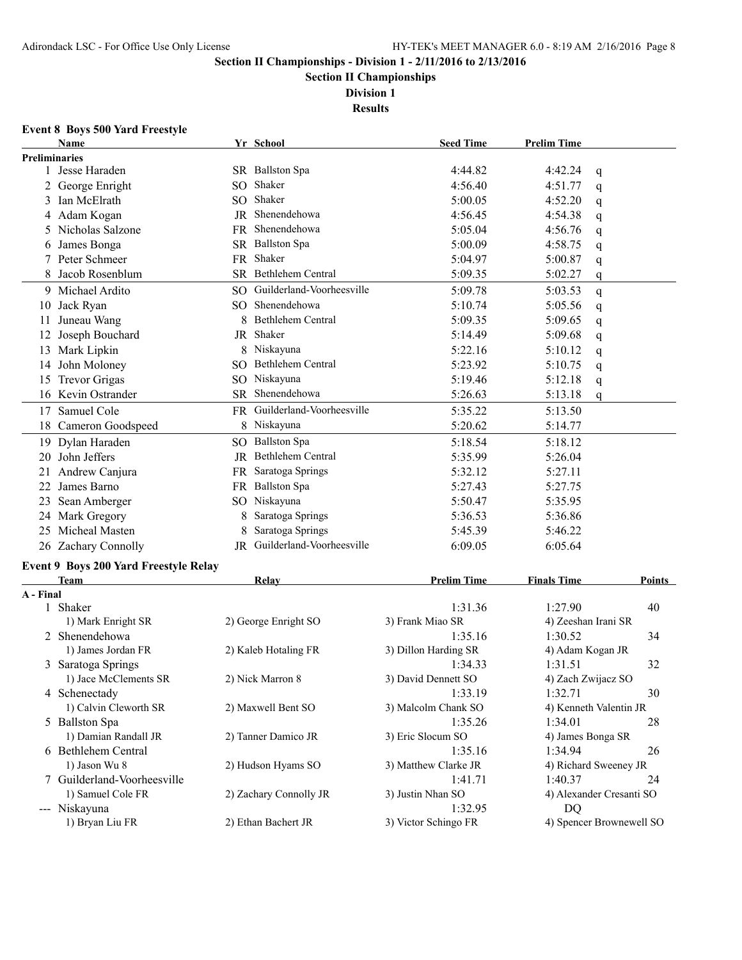**Section II Championships**

**Division 1 Results**

# **Event 8 Boys 500 Yard Freestyle**

|                      | Name                                                        |     | Yr School                    | <b>Seed Time</b>     | <b>Prelim Time</b>  |                          |
|----------------------|-------------------------------------------------------------|-----|------------------------------|----------------------|---------------------|--------------------------|
| <b>Preliminaries</b> |                                                             |     |                              |                      |                     |                          |
|                      | 1 Jesse Haraden                                             |     | SR Ballston Spa              | 4:44.82              | 4:42.24             | q                        |
|                      | 2 George Enright                                            | SO. | Shaker                       | 4:56.40              | 4:51.77             | q                        |
|                      | 3 Ian McElrath                                              | SO. | Shaker                       | 5:00.05              | 4:52.20             | q                        |
|                      | 4 Adam Kogan                                                | JR  | Shenendehowa                 | 4:56.45              | 4:54.38             | q                        |
| 5.                   | Nicholas Salzone                                            |     | FR Shenendehowa              | 5:05.04              | 4:56.76             | q                        |
| 6                    | James Bonga                                                 |     | SR Ballston Spa              | 5:00.09              | 4:58.75             | q                        |
|                      | 7 Peter Schmeer                                             |     | FR Shaker                    | 5:04.97              | 5:00.87             | q                        |
| 8                    | Jacob Rosenblum                                             |     | SR Bethlehem Central         | 5:09.35              | 5:02.27             | q                        |
|                      | 9 Michael Ardito                                            | SO. | Guilderland-Voorheesville    | 5:09.78              | 5:03.53             | q                        |
| 10                   | Jack Ryan                                                   |     | SO Shenendehowa              | 5:10.74              | 5:05.56             | q                        |
| 11                   | Juneau Wang                                                 | 8   | <b>Bethlehem Central</b>     | 5:09.35              | 5:09.65             | q                        |
|                      | 12 Joseph Bouchard                                          |     | JR Shaker                    | 5:14.49              | 5:09.68             | q                        |
|                      | 13 Mark Lipkin                                              |     | 8 Niskayuna                  | 5:22.16              | 5:10.12             | q                        |
| 14                   | John Moloney                                                |     | SO Bethlehem Central         | 5:23.92              | 5:10.75             | q                        |
| 15                   | <b>Trevor Grigas</b>                                        |     | SO Niskayuna                 | 5:19.46              | 5:12.18             | q                        |
|                      | 16 Kevin Ostrander                                          |     | SR Shenendehowa              | 5:26.63              | 5:13.18             | q                        |
| 17                   | Samuel Cole                                                 |     | FR Guilderland-Voorheesville | 5:35.22              | 5:13.50             |                          |
| 18                   | Cameron Goodspeed                                           |     | 8 Niskayuna                  | 5:20.62              | 5:14.77             |                          |
| 19                   | Dylan Haraden                                               |     | SO Ballston Spa              | 5:18.54              | 5:18.12             |                          |
| 20                   | John Jeffers                                                |     | JR Bethlehem Central         | 5:35.99              | 5:26.04             |                          |
| 21                   | Andrew Canjura                                              |     | FR Saratoga Springs          | 5:32.12              | 5:27.11             |                          |
| 22                   | James Barno                                                 |     | FR Ballston Spa              | 5:27.43              | 5:27.75             |                          |
|                      | 23 Sean Amberger                                            |     | SO Niskayuna                 | 5:50.47              | 5:35.95             |                          |
|                      | 24 Mark Gregory                                             | 8   | Saratoga Springs             | 5:36.53              | 5:36.86             |                          |
|                      | 25 Micheal Masten                                           | 8   | Saratoga Springs             | 5:45.39              | 5:46.22             |                          |
|                      | 26 Zachary Connolly                                         |     | JR Guilderland-Voorheesville | 6:09.05              | 6:05.64             |                          |
|                      |                                                             |     |                              |                      |                     |                          |
|                      | <b>Event 9 Boys 200 Yard Freestyle Relay</b><br><b>Team</b> |     | Relay                        | <b>Prelim Time</b>   | <b>Finals Time</b>  | Points                   |
| A - Final            |                                                             |     |                              |                      |                     |                          |
|                      | 1 Shaker                                                    |     |                              | 1:31.36              | 1:27.90             | 40                       |
|                      | 1) Mark Enright SR                                          |     | 2) George Enright SO         | 3) Frank Miao SR     | 4) Zeeshan Irani SR |                          |
|                      | 2 Shenendehowa                                              |     |                              | 1:35.16              | 1:30.52             | 34                       |
|                      | 1) James Jordan FR                                          |     | 2) Kaleb Hotaling FR         | 3) Dillon Harding SR | 4) Adam Kogan JR    |                          |
|                      | 3 Saratoga Springs                                          |     |                              | 1:34.33              | 1:31.51             | 32                       |
|                      | 1) Jace McClements SR                                       |     | 2) Nick Marron 8             | 3) David Dennett SO  | 4) Zach Zwijacz SO  |                          |
|                      | 4 Schenectady                                               |     |                              | 1:33.19              | 1:32.71             | 30                       |
|                      | 1) Calvin Cleworth SR                                       |     | 2) Maxwell Bent SO           | 3) Malcolm Chank SO  |                     | 4) Kenneth Valentin JR   |
|                      | 5 Ballston Spa                                              |     |                              | 1:35.26              | 1:34.01             | 28                       |
|                      | 1) Damian Randall JR                                        |     | 2) Tanner Damico JR          | 3) Eric Slocum SO    | 4) James Bonga SR   |                          |
|                      | 6 Bethlehem Central                                         |     |                              | 1:35.16              | 1:34.94             | 26                       |
|                      | 1) Jason Wu 8                                               |     | 2) Hudson Hyams SO           | 3) Matthew Clarke JR |                     | 4) Richard Sweeney JR    |
|                      | 7 Guilderland-Voorheesville                                 |     |                              | 1:41.71              | 1:40.37             | 24                       |
|                      | 1) Samuel Cole FR                                           |     | 2) Zachary Connolly JR       | 3) Justin Nhan SO    |                     | 4) Alexander Cresanti SO |
|                      | --- Niskayuna                                               |     |                              | 1:32.95              | DQ                  |                          |
|                      | 1) Bryan Liu FR                                             |     | 2) Ethan Bachert JR          | 3) Victor Schingo FR |                     | 4) Spencer Brownewell SO |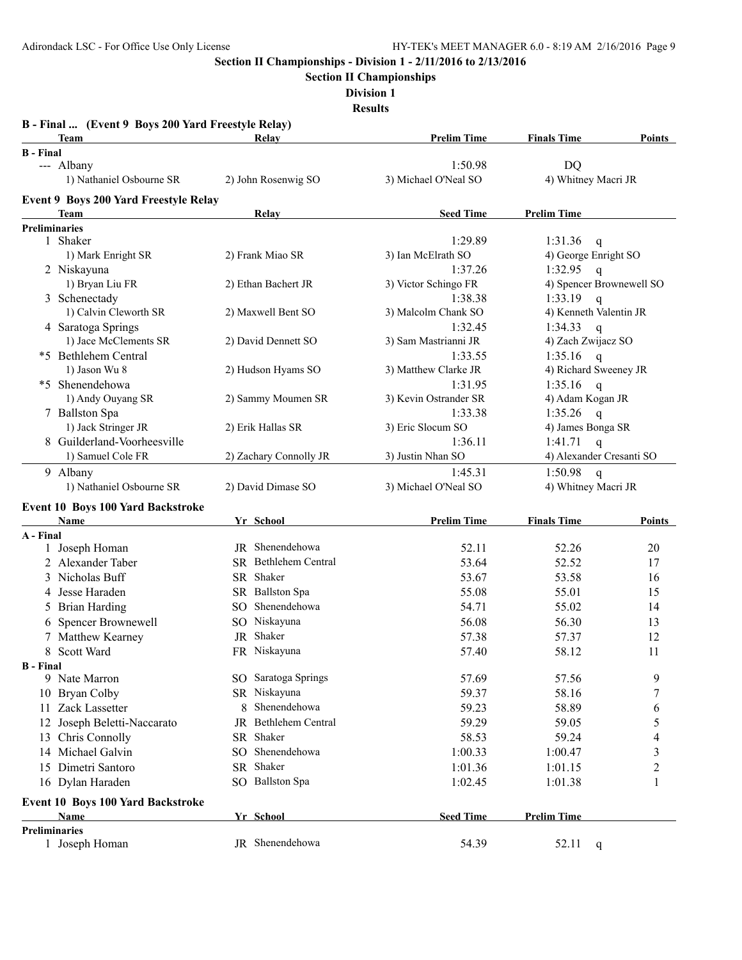**Section II Championships**

**Division 1**

**Results**

|                  | B - Final  (Event 9 Boys 200 Yard Freestyle Relay)<br><b>Team</b> |     | Relay                  | <b>Prelim Time</b>    | <b>Finals Time</b>       | Points              |
|------------------|-------------------------------------------------------------------|-----|------------------------|-----------------------|--------------------------|---------------------|
| <b>B</b> - Final |                                                                   |     |                        |                       |                          |                     |
|                  | --- Albany                                                        |     |                        | 1:50.98               | DQ                       |                     |
|                  | 1) Nathaniel Osbourne SR                                          |     | 2) John Rosenwig SO    | 3) Michael O'Neal SO  | 4) Whitney Macri JR      |                     |
|                  | <b>Event 9 Boys 200 Yard Freestyle Relay</b>                      |     |                        |                       |                          |                     |
|                  | <b>Team</b>                                                       |     | Relay                  | <b>Seed Time</b>      | <b>Prelim Time</b>       |                     |
|                  | <b>Preliminaries</b>                                              |     |                        |                       |                          |                     |
|                  | 1 Shaker                                                          |     |                        | 1:29.89               | 1:31.36<br>$\mathbf{q}$  |                     |
|                  | 1) Mark Enright SR                                                |     | 2) Frank Miao SR       | 3) Ian McElrath SO    | 4) George Enright SO     |                     |
|                  | 2 Niskayuna                                                       |     |                        | 1:37.26               | 1:32.95<br>$\mathsf{q}$  |                     |
|                  | 1) Bryan Liu FR                                                   |     | 2) Ethan Bachert JR    | 3) Victor Schingo FR  | 4) Spencer Brownewell SO |                     |
|                  | 3 Schenectady                                                     |     |                        | 1:38.38               | 1:33.19<br>$\mathsf{q}$  |                     |
|                  | 1) Calvin Cleworth SR                                             |     | 2) Maxwell Bent SO     | 3) Malcolm Chank SO   | 4) Kenneth Valentin JR   |                     |
|                  | 4 Saratoga Springs                                                |     |                        | 1:32.45               | 1:34.33<br>$\mathsf{q}$  |                     |
|                  | 1) Jace McClements SR                                             |     | 2) David Dennett SO    | 3) Sam Mastrianni JR  | 4) Zach Zwijacz SO       |                     |
|                  | *5 Bethlehem Central                                              |     |                        | 1:33.55               | 1:35.16<br>$\mathsf{q}$  |                     |
|                  | 1) Jason Wu 8                                                     |     | 2) Hudson Hyams SO     | 3) Matthew Clarke JR  | 4) Richard Sweeney JR    |                     |
|                  | *5 Shenendehowa                                                   |     |                        | 1:31.95               | 1:35.16<br>$\mathbf{q}$  |                     |
|                  | 1) Andy Ouyang SR                                                 |     | 2) Sammy Moumen SR     | 3) Kevin Ostrander SR | 4) Adam Kogan JR         |                     |
|                  | 7 Ballston Spa                                                    |     |                        | 1:33.38               | 1:35.26<br>$\mathsf{q}$  |                     |
|                  | 1) Jack Stringer JR                                               |     | 2) Erik Hallas SR      | 3) Eric Slocum SO     | 4) James Bonga SR        |                     |
|                  | 8 Guilderland-Voorheesville                                       |     |                        | 1:36.11               | 1:41.71<br>$\mathsf{q}$  |                     |
|                  | 1) Samuel Cole FR                                                 |     | 2) Zachary Connolly JR | 3) Justin Nhan SO     | 4) Alexander Cresanti SO |                     |
|                  | 9 Albany                                                          |     |                        | 1:45.31               | 1:50.98<br>$\mathbf{q}$  |                     |
|                  | 1) Nathaniel Osbourne SR                                          |     | 2) David Dimase SO     | 3) Michael O'Neal SO  | 4) Whitney Macri JR      |                     |
|                  | Event 10 Boys 100 Yard Backstroke                                 |     |                        |                       |                          |                     |
|                  | Name                                                              |     | Yr School              | <b>Prelim Time</b>    | <b>Finals Time</b>       | Points              |
| A - Final        |                                                                   |     |                        |                       |                          |                     |
| 1                | Joseph Homan                                                      |     | JR Shenendehowa        | 52.11                 | 52.26                    | 20                  |
|                  | 2 Alexander Taber                                                 |     | SR Bethlehem Central   | 53.64                 | 52.52                    | 17                  |
| 3                | Nicholas Buff                                                     |     | SR Shaker              | 53.67                 | 53.58                    | 16                  |
| 4                | Jesse Haraden                                                     |     | SR Ballston Spa        | 55.08                 | 55.01                    | 15                  |
| 5.               | <b>Brian Harding</b>                                              | SO. | Shenendehowa           | 54.71                 | 55.02                    | 14                  |
| 6.               | Spencer Brownewell                                                |     | SO Niskayuna           | 56.08                 | 56.30                    | 13                  |
|                  | 7 Matthew Kearney                                                 | JR  | Shaker                 | 57.38                 | 57.37                    | 12                  |
|                  | 8 Scott Ward                                                      |     | FR Niskayuna           | 57.40                 | 58.12                    | 11                  |
| <b>B</b> - Final |                                                                   |     |                        |                       |                          |                     |
|                  | 9 Nate Marron                                                     |     | SO Saratoga Springs    | 57.69                 | 57.56                    | 9                   |
|                  | 10 Bryan Colby                                                    |     | SR Niskayuna           | 59.37                 | 58.16                    | 7                   |
|                  | 11 Zack Lassetter                                                 | 8   | Shenendehowa           | 59.23                 | 58.89                    | 6                   |
|                  | 12 Joseph Beletti-Naccarato                                       |     | JR Bethlehem Central   | 59.29                 | 59.05                    | 5                   |
|                  | 13 Chris Connolly                                                 |     | SR Shaker              | 58.53                 | 59.24                    | 4                   |
|                  | 14 Michael Galvin                                                 | SO. | Shenendehowa           | 1:00.33               | 1:00.47                  | 3                   |
|                  | 15 Dimetri Santoro                                                |     | SR Shaker              |                       |                          |                     |
|                  |                                                                   |     | SO Ballston Spa        | 1:01.36               | 1:01.15                  | $\overline{2}$<br>1 |
|                  | 16 Dylan Haraden                                                  |     |                        | 1:02.45               | 1:01.38                  |                     |
|                  | Event 10 Boys 100 Yard Backstroke                                 |     |                        |                       |                          |                     |
|                  | <b>Name</b>                                                       |     | Yr School              | <b>Seed Time</b>      | <b>Prelim Time</b>       |                     |
|                  | <b>Preliminaries</b>                                              |     |                        |                       |                          |                     |
|                  | 1 Joseph Homan                                                    |     | JR Shenendehowa        | 54.39                 | 52.11<br>$\mathbf q$     |                     |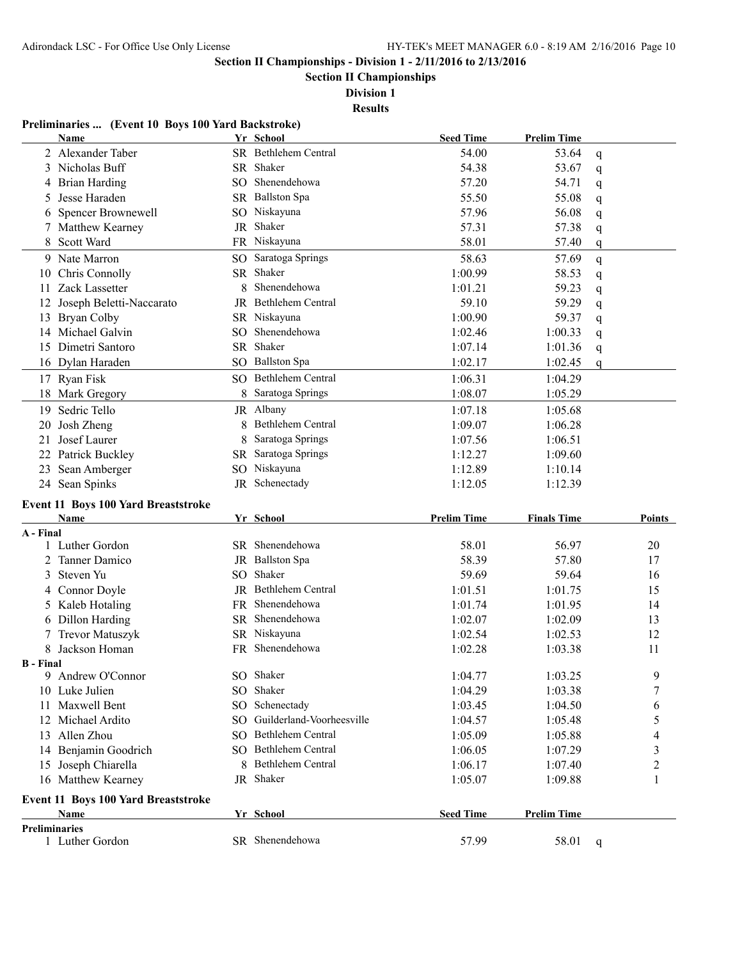**Section II Championships**

**Division 1**

#### **Results**

## **Preliminaries ... (Event 10 Boys 100 Yard Backstroke)**

|                      | Name                                        |   | Yr School                    | <b>Seed Time</b>   | <b>Prelim Time</b> |   |        |
|----------------------|---------------------------------------------|---|------------------------------|--------------------|--------------------|---|--------|
|                      | 2 Alexander Taber                           |   | SR Bethlehem Central         | 54.00              | 53.64              | q |        |
|                      | 3 Nicholas Buff                             |   | SR Shaker                    | 54.38              | 53.67              | q |        |
|                      | 4 Brian Harding                             |   | SO Shenendehowa              | 57.20              | 54.71              | q |        |
| 5                    | Jesse Haraden                               |   | SR Ballston Spa              | 55.50              | 55.08              | q |        |
|                      | <b>Spencer Brownewell</b>                   |   | SO Niskayuna                 | 57.96              | 56.08              | q |        |
|                      | Matthew Kearney                             |   | JR Shaker                    | 57.31              | 57.38              | q |        |
| 8                    | Scott Ward                                  |   | FR Niskayuna                 | 58.01              | 57.40              | q |        |
|                      | 9 Nate Marron                               |   | SO Saratoga Springs          | 58.63              | 57.69              | q |        |
| 10                   | Chris Connolly                              |   | SR Shaker                    | 1:00.99            | 58.53              | q |        |
| 11                   | Zack Lassetter                              | 8 | Shenendehowa                 | 1:01.21            | 59.23              | q |        |
|                      | 12 Joseph Beletti-Naccarato                 |   | JR Bethlehem Central         | 59.10              | 59.29              | q |        |
| 13                   | <b>Bryan Colby</b>                          |   | SR Niskayuna                 | 1:00.90            | 59.37              | q |        |
|                      | 14 Michael Galvin                           |   | SO Shenendehowa              | 1:02.46            | 1:00.33            |   |        |
|                      | 15 Dimetri Santoro                          |   | SR Shaker                    | 1:07.14            | 1:01.36            | q |        |
|                      | 16 Dylan Haraden                            |   | SO Ballston Spa              | 1:02.17            | 1:02.45            | q |        |
|                      |                                             |   |                              |                    |                    | q |        |
|                      | 17 Ryan Fisk                                |   | SO Bethlehem Central         | 1:06.31            | 1:04.29            |   |        |
|                      | 18 Mark Gregory                             | 8 | Saratoga Springs             | 1:08.07            | 1:05.29            |   |        |
| 19                   | Sedric Tello                                |   | JR Albany                    | 1:07.18            | 1:05.68            |   |        |
| 20                   | Josh Zheng                                  | 8 | <b>Bethlehem Central</b>     | 1:09.07            | 1:06.28            |   |        |
| 21                   | Josef Laurer                                | 8 | Saratoga Springs             | 1:07.56            | 1:06.51            |   |        |
|                      | 22 Patrick Buckley                          |   | SR Saratoga Springs          | 1:12.27            | 1:09.60            |   |        |
|                      | 23 Sean Amberger                            |   | SO Niskayuna                 | 1:12.89            | 1:10.14            |   |        |
|                      | 24 Sean Spinks                              |   | JR Schenectady               | 1:12.05            | 1:12.39            |   |        |
|                      |                                             |   |                              |                    |                    |   |        |
|                      |                                             |   |                              |                    |                    |   |        |
|                      | Event 11 Boys 100 Yard Breaststroke<br>Name |   | Yr School                    | <b>Prelim Time</b> | <b>Finals Time</b> |   | Points |
| A - Final            |                                             |   |                              |                    |                    |   |        |
|                      | 1 Luther Gordon                             |   | SR Shenendehowa              | 58.01              | 56.97              |   | 20     |
| 2                    | Tanner Damico                               |   | JR Ballston Spa              | 58.39              | 57.80              |   | 17     |
| 3                    | Steven Yu                                   |   | SO Shaker                    | 59.69              | 59.64              |   | 16     |
|                      | 4 Connor Doyle                              |   | JR Bethlehem Central         | 1:01.51            | 1:01.75            |   | 15     |
|                      | 5 Kaleb Hotaling                            |   | FR Shenendehowa              | 1:01.74            | 1:01.95            |   | 14     |
|                      | 6 Dillon Harding                            |   | SR Shenendehowa              | 1:02.07            | 1:02.09            |   | 13     |
|                      | 7 Trevor Matuszyk                           |   | SR Niskayuna                 | 1:02.54            | 1:02.53            |   | 12     |
|                      | 8 Jackson Homan                             |   | FR Shenendehowa              | 1:02.28            | 1:03.38            |   | 11     |
| <b>B</b> - Final     |                                             |   |                              |                    |                    |   |        |
|                      | 9 Andrew O'Connor                           |   | SO Shaker                    | 1:04.77            | 1:03.25            |   | 9      |
|                      | 10 Luke Julien                              |   | SO Shaker                    | 1:04.29            | 1:03.38            |   | 7      |
|                      | 11 Maxwell Bent                             |   | SO Schenectady               | 1:03.45            | 1:04.50            |   | 6      |
|                      | 12 Michael Ardito                           |   | SO Guilderland-Voorheesville | 1:04.57            | 1:05.48            |   | 5      |
|                      | 13 Allen Zhou                               |   | SO Bethlehem Central         | 1:05.09            | 1:05.88            |   | 4      |
|                      | 14 Benjamin Goodrich                        |   | SO Bethlehem Central         | 1:06.05            | 1:07.29            |   | 3      |
|                      | 15 Joseph Chiarella                         |   | 8 Bethlehem Central          | 1:06.17            | 1:07.40            |   | 2      |
|                      | 16 Matthew Kearney                          |   | JR Shaker                    | 1:05.07            | 1:09.88            |   |        |
|                      |                                             |   |                              |                    |                    |   |        |
|                      | Event 11 Boys 100 Yard Breaststroke         |   |                              |                    |                    |   |        |
| <b>Preliminaries</b> | Name                                        |   | Yr School                    | <b>Seed Time</b>   | <b>Prelim Time</b> |   |        |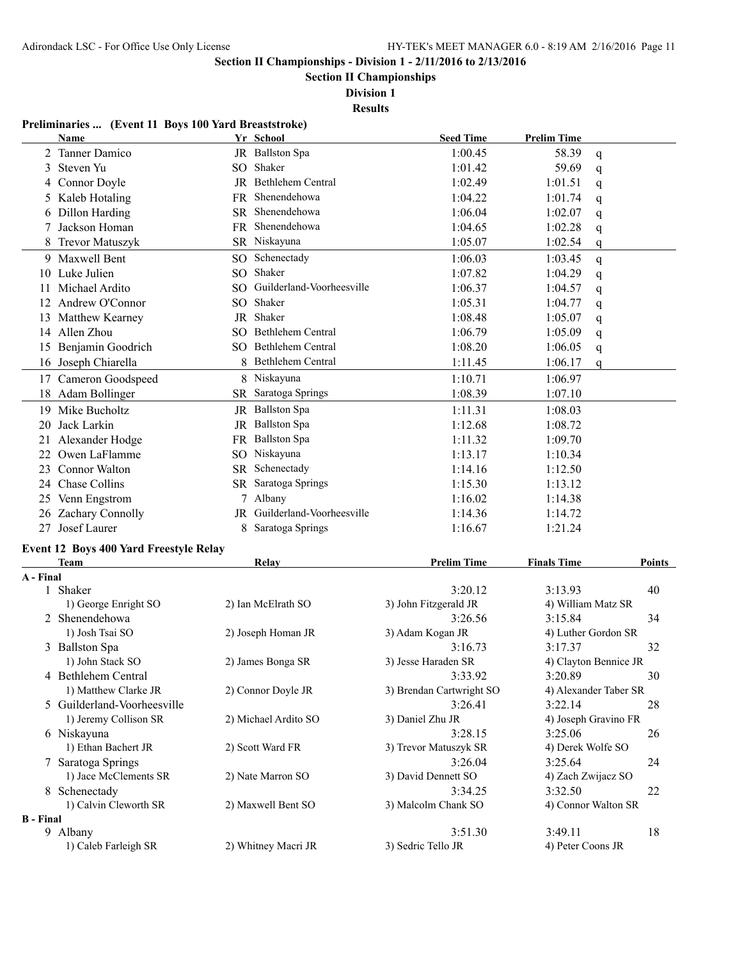**B - Final**

**Section II Championships - Division 1 - 2/11/2016 to 2/13/2016**

**Section II Championships**

**Division 1**

**Results**

#### **Preliminaries ... (Event 11 Boys 100 Yard Breaststroke)**

|           | Name                                   | Yr School                    | <b>Seed Time</b>         | <b>Prelim Time</b> |                       |
|-----------|----------------------------------------|------------------------------|--------------------------|--------------------|-----------------------|
|           | 2 Tanner Damico                        | JR Ballston Spa              | 1:00.45                  | 58.39              | q                     |
|           | 3 Steven Yu                            | SO Shaker                    | 1:01.42                  | 59.69              | $\mathsf{q}$          |
|           | 4 Connor Doyle                         | JR Bethlehem Central         | 1:02.49                  | 1:01.51            | q                     |
|           | 5 Kaleb Hotaling                       | FR Shenendehowa              | 1:04.22                  | 1:01.74            | $\mathsf{q}$          |
|           | 6 Dillon Harding                       | SR Shenendehowa              | 1:06.04                  | 1:02.07            | $\mathsf{q}$          |
|           | 7 Jackson Homan                        | FR Shenendehowa              | 1:04.65                  | 1:02.28            | $\mathsf{q}$          |
|           | 8 Trevor Matuszyk                      | SR Niskayuna                 | 1:05.07                  | 1:02.54            | q                     |
|           | 9 Maxwell Bent                         | SO Schenectady               | 1:06.03                  | 1:03.45            | q                     |
|           | 10 Luke Julien                         | SO Shaker                    | 1:07.82                  | 1:04.29            | q                     |
|           | 11 Michael Ardito                      | SO Guilderland-Voorheesville | 1:06.37                  | 1:04.57            | q                     |
|           | 12 Andrew O'Connor                     | SO Shaker                    | 1:05.31                  | 1:04.77            | q                     |
|           | 13 Matthew Kearney                     | JR Shaker                    | 1:08.48                  | 1:05.07            | q                     |
|           | 14 Allen Zhou                          | SO Bethlehem Central         | 1:06.79                  | 1:05.09            | q                     |
|           | 15 Benjamin Goodrich                   | SO Bethlehem Central         | 1:08.20                  | 1:06.05            | q                     |
|           | 16 Joseph Chiarella                    | 8 Bethlehem Central          | 1:11.45                  | 1:06.17            | $\mathbf{q}$          |
|           | 17 Cameron Goodspeed                   | 8 Niskayuna                  | 1:10.71                  | 1:06.97            |                       |
|           | 18 Adam Bollinger                      | SR Saratoga Springs          | 1:08.39                  | 1:07.10            |                       |
|           | 19 Mike Bucholtz                       | JR Ballston Spa              | 1:11.31                  | 1:08.03            |                       |
|           | 20 Jack Larkin                         | JR Ballston Spa              | 1:12.68                  | 1:08.72            |                       |
|           | 21 Alexander Hodge                     | FR Ballston Spa              | 1:11.32                  | 1:09.70            |                       |
|           | 22 Owen LaFlamme                       | SO Niskayuna                 | 1:13.17                  | 1:10.34            |                       |
|           | 23 Connor Walton                       | SR Schenectady               | 1:14.16                  | 1:12.50            |                       |
|           | 24 Chase Collins                       | SR Saratoga Springs          | 1:15.30                  | 1:13.12            |                       |
|           | 25 Venn Engstrom                       | 7 Albany                     | 1:16.02                  | 1:14.38            |                       |
|           | 26 Zachary Connolly                    | JR Guilderland-Voorheesville | 1:14.36                  | 1:14.72            |                       |
|           | 27 Josef Laurer                        | 8 Saratoga Springs           | 1:16.67                  | 1:21.24            |                       |
|           | Event 12 Boys 400 Yard Freestyle Relay |                              |                          |                    |                       |
|           | <b>Team</b>                            | Relay                        | <b>Prelim Time</b>       | <b>Finals Time</b> | Points                |
| A - Final |                                        |                              |                          |                    |                       |
|           | 1 Shaker                               |                              | 3:20.12                  | 3:13.93            | 40                    |
|           | 1) George Enright SO                   | 2) Ian McElrath SO           | 3) John Fitzgerald JR    | 4) William Matz SR |                       |
|           | 2 Shenendehowa                         |                              | 3:26.56                  | 3:15.84            | 34                    |
|           | 1) Josh Tsai SO                        | 2) Joseph Homan JR           | 3) Adam Kogan JR         |                    | 4) Luther Gordon SR   |
|           | 3 Ballston Spa                         |                              | 3:16.73                  | 3:17.37            | 32                    |
|           | 1) John Stack SO                       | 2) James Bonga SR            | 3) Jesse Haraden SR      |                    | 4) Clayton Bennice JR |
|           | 4 Bethlehem Central                    |                              | 3:33.92                  | 3:20.89            | 30                    |
|           | 1) Matthew Clarke JR                   | 2) Connor Doyle JR           | 3) Brendan Cartwright SO |                    | 4) Alexander Taber SR |
|           | 5 Guilderland-Voorheesville            |                              | 3:26.41                  | 3:22.14            | 28                    |
|           | 1) Jeremy Collison SR                  | 2) Michael Ardito SO         | 3) Daniel Zhu JR         |                    | 4) Joseph Gravino FR  |
|           | 6 Niskayuna                            |                              | 3:28.15                  | 3:25.06            | 26                    |
|           | 1) Ethan Bachert JR                    | 2) Scott Ward FR             | 3) Trevor Matuszyk SR    | 4) Derek Wolfe SO  |                       |

7 Saratoga Springs 3:26.04 3:25.64 24 1) Jace McClements SR 2) Nate Marron SO 3) David Dennett SO 4) Zach Zwijacz SO 8 Schenectady 3:34.25 3:32.50 22 1) Calvin Cleworth SR 2) Maxwell Bent SO 3) Malcolm Chank SO 4) Connor Walton SR

9 Albany 3:51.30 3:49.11 18 1) Caleb Farleigh SR 2) Whitney Macri JR 3) Sedric Tello JR 4) Peter Coons JR